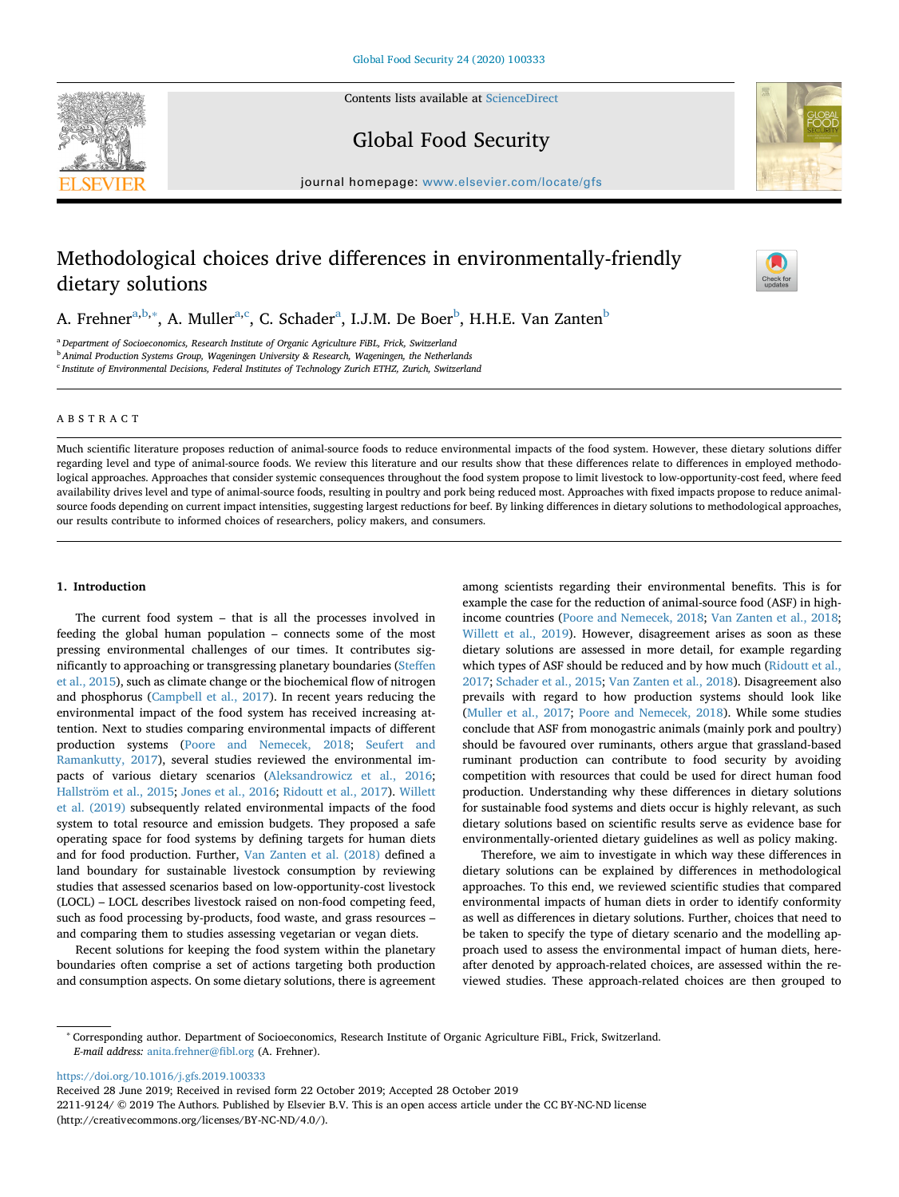Contents lists available at [ScienceDirect](http://www.sciencedirect.com/science/journal/22119124)







journal homepage: [www.elsevier.com/locate/gfs](https://www.elsevier.com/locate/gfs)

# Methodological choices drive differences in environmentally-friendly dietary solutions



A. Frehner<sup>[a,](#page-0-0)[b](#page-0-1),</sup>\*, A. Muller<sup>a,[c](#page-0-3)</sup>, C. Sch[a](#page-0-0)der<sup>a</sup>, I.J.M. De Boer<sup>b</sup>, H.H.E. Van Zanten<sup>b</sup>

<span id="page-0-0"></span><sup>a</sup> *Department of Socioeconomics, Research Institute of Organic Agriculture FiBL, Frick, Switzerland*

<span id="page-0-1"></span><sup>b</sup> *Animal Production Systems Group, Wageningen University & Research, Wageningen, the Netherlands*

<span id="page-0-3"></span><sup>c</sup> *Institute of Environmental Decisions, Federal Institutes of Technology Zurich ETHZ, Zurich, Switzerland*

## ABSTRACT

Much scientific literature proposes reduction of animal-source foods to reduce environmental impacts of the food system. However, these dietary solutions differ regarding level and type of animal-source foods. We review this literature and our results show that these differences relate to differences in employed methodological approaches. Approaches that consider systemic consequences throughout the food system propose to limit livestock to low-opportunity-cost feed, where feed availability drives level and type of animal-source foods, resulting in poultry and pork being reduced most. Approaches with fixed impacts propose to reduce animalsource foods depending on current impact intensities, suggesting largest reductions for beef. By linking differences in dietary solutions to methodological approaches, our results contribute to informed choices of researchers, policy makers, and consumers.

## **1. Introduction**

The current food system – that is all the processes involved in feeding the global human population – connects some of the most pressing environmental challenges of our times. It contributes significantly to approaching or transgressing planetary boundaries [\(Steffen](#page-7-0) [et al., 2015\)](#page-7-0), such as climate change or the biochemical flow of nitrogen and phosphorus ([Campbell et al., 2017\)](#page-7-1). In recent years reducing the environmental impact of the food system has received increasing attention. Next to studies comparing environmental impacts of different production systems [\(Poore and Nemecek, 2018](#page-7-2); [Seufert and](#page-7-3) [Ramankutty, 2017\)](#page-7-3), several studies reviewed the environmental impacts of various dietary scenarios ([Aleksandrowicz et al., 2016](#page-7-4); [Hallström et al., 2015](#page-7-5); [Jones et al., 2016;](#page-7-6) [Ridoutt et al., 2017](#page-7-7)). [Willett](#page-7-8) [et al. \(2019\)](#page-7-8) subsequently related environmental impacts of the food system to total resource and emission budgets. They proposed a safe operating space for food systems by defining targets for human diets and for food production. Further, [Van Zanten et al. \(2018\)](#page-7-9) defined a land boundary for sustainable livestock consumption by reviewing studies that assessed scenarios based on low-opportunity-cost livestock (LOCL) – LOCL describes livestock raised on non-food competing feed, such as food processing by-products, food waste, and grass resources – and comparing them to studies assessing vegetarian or vegan diets.

Recent solutions for keeping the food system within the planetary boundaries often comprise a set of actions targeting both production and consumption aspects. On some dietary solutions, there is agreement among scientists regarding their environmental benefits. This is for example the case for the reduction of animal-source food (ASF) in highincome countries ([Poore and Nemecek, 2018;](#page-7-2) [Van Zanten et al., 2018](#page-7-9); [Willett et al., 2019\)](#page-7-8). However, disagreement arises as soon as these dietary solutions are assessed in more detail, for example regarding which types of ASF should be reduced and by how much ([Ridoutt et al.,](#page-7-7) [2017;](#page-7-7) [Schader et al., 2015](#page-7-10); [Van Zanten et al., 2018\)](#page-7-9). Disagreement also prevails with regard to how production systems should look like ([Muller et al., 2017](#page-7-11); [Poore and Nemecek, 2018](#page-7-2)). While some studies conclude that ASF from monogastric animals (mainly pork and poultry) should be favoured over ruminants, others argue that grassland-based ruminant production can contribute to food security by avoiding competition with resources that could be used for direct human food production. Understanding why these differences in dietary solutions for sustainable food systems and diets occur is highly relevant, as such dietary solutions based on scientific results serve as evidence base for environmentally-oriented dietary guidelines as well as policy making.

Therefore, we aim to investigate in which way these differences in dietary solutions can be explained by differences in methodological approaches. To this end, we reviewed scientific studies that compared environmental impacts of human diets in order to identify conformity as well as differences in dietary solutions. Further, choices that need to be taken to specify the type of dietary scenario and the modelling approach used to assess the environmental impact of human diets, hereafter denoted by approach-related choices, are assessed within the reviewed studies. These approach-related choices are then grouped to

<https://doi.org/10.1016/j.gfs.2019.100333>

Received 28 June 2019; Received in revised form 22 October 2019; Accepted 28 October 2019

2211-9124/ © 2019 The Authors. Published by Elsevier B.V. This is an open access article under the CC BY-NC-ND license (http://creativecommons.org/licenses/BY-NC-ND/4.0/).

<span id="page-0-2"></span><sup>∗</sup> Corresponding author. Department of Socioeconomics, Research Institute of Organic Agriculture FiBL, Frick, Switzerland. *E-mail address:* [anita.frehner@fibl.org](mailto:anita.frehner@fibl.org) (A. Frehner).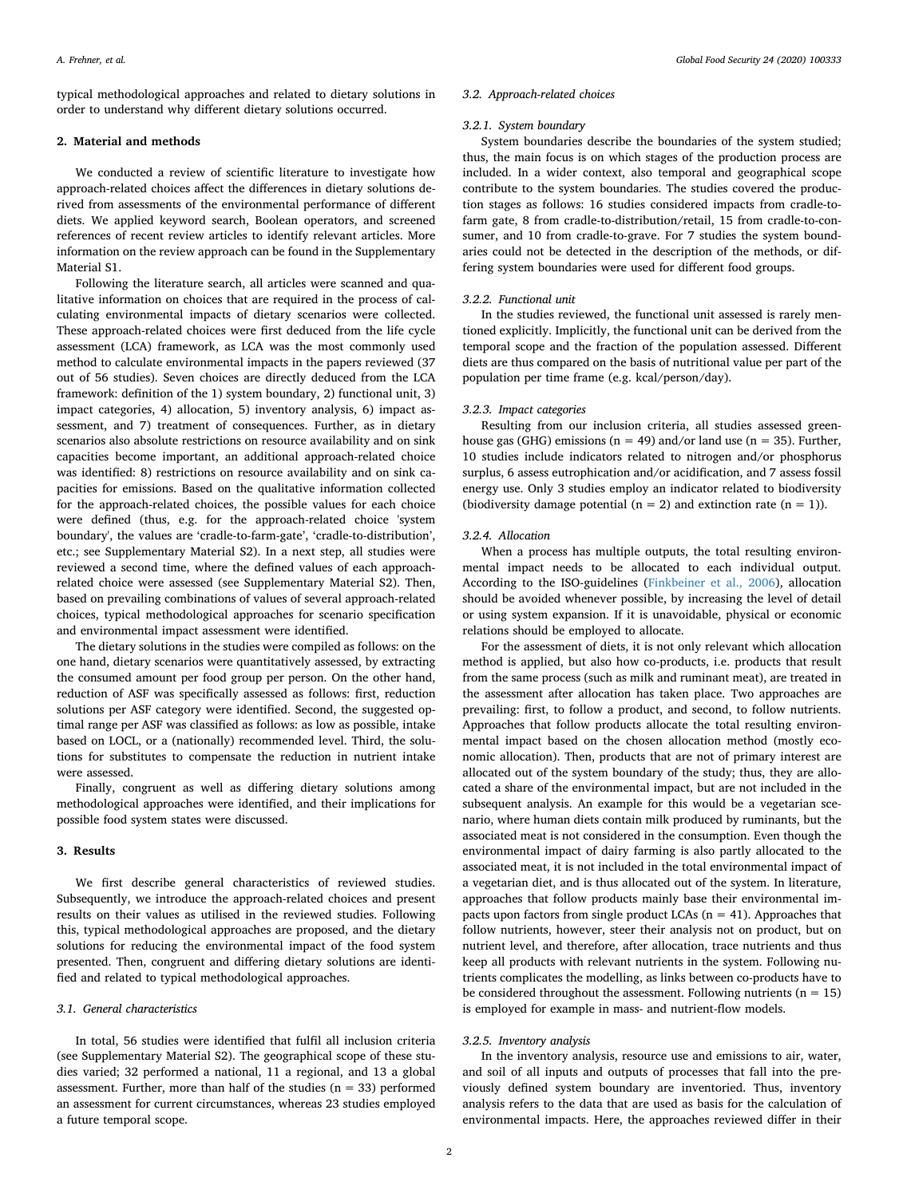typical methodological approaches and related to dietary solutions in order to understand why different dietary solutions occurred.

## **2. Material and methods**

We conducted a review of scientific literature to investigate how approach-related choices affect the differences in dietary solutions derived from assessments of the environmental performance of different diets. We applied keyword search, Boolean operators, and screened references of recent review articles to identify relevant articles. More information on the review approach can be found in the Supplementary Material S1.

Following the literature search, all articles were scanned and qualitative information on choices that are required in the process of calculating environmental impacts of dietary scenarios were collected. These approach-related choices were first deduced from the life cycle assessment (LCA) framework, as LCA was the most commonly used method to calculate environmental impacts in the papers reviewed (37 out of 56 studies). Seven choices are directly deduced from the LCA framework: definition of the 1) system boundary, 2) functional unit, 3) impact categories, 4) allocation, 5) inventory analysis, 6) impact assessment, and 7) treatment of consequences. Further, as in dietary scenarios also absolute restrictions on resource availability and on sink capacities become important, an additional approach-related choice was identified: 8) restrictions on resource availability and on sink capacities for emissions. Based on the qualitative information collected for the approach-related choices, the possible values for each choice were defined (thus, e.g. for the approach-related choice 'system boundary', the values are 'cradle-to-farm-gate', 'cradle-to-distribution', etc.; see Supplementary Material S2). In a next step, all studies were reviewed a second time, where the defined values of each approachrelated choice were assessed (see Supplementary Material S2). Then, based on prevailing combinations of values of several approach-related choices, typical methodological approaches for scenario specification and environmental impact assessment were identified.

The dietary solutions in the studies were compiled as follows: on the one hand, dietary scenarios were quantitatively assessed, by extracting the consumed amount per food group per person. On the other hand, reduction of ASF was specifically assessed as follows: first, reduction solutions per ASF category were identified. Second, the suggested optimal range per ASF was classified as follows: as low as possible, intake based on LOCL, or a (nationally) recommended level. Third, the solutions for substitutes to compensate the reduction in nutrient intake were assessed.

Finally, congruent as well as differing dietary solutions among methodological approaches were identified, and their implications for possible food system states were discussed.

## **3. Results**

We first describe general characteristics of reviewed studies. Subsequently, we introduce the approach-related choices and present results on their values as utilised in the reviewed studies. Following this, typical methodological approaches are proposed, and the dietary solutions for reducing the environmental impact of the food system presented. Then, congruent and differing dietary solutions are identified and related to typical methodological approaches.

## *3.1. General characteristics*

In total, 56 studies were identified that fulfil all inclusion criteria (see Supplementary Material S2). The geographical scope of these studies varied; 32 performed a national, 11 a regional, and 13 a global assessment. Further, more than half of the studies  $(n = 33)$  performed an assessment for current circumstances, whereas 23 studies employed a future temporal scope.

#### <span id="page-1-0"></span>*3.2. Approach-related choices*

## *3.2.1. System boundary*

System boundaries describe the boundaries of the system studied; thus, the main focus is on which stages of the production process are included. In a wider context, also temporal and geographical scope contribute to the system boundaries. The studies covered the production stages as follows: 16 studies considered impacts from cradle-tofarm gate, 8 from cradle-to-distribution/retail, 15 from cradle-to-consumer, and 10 from cradle-to-grave. For 7 studies the system boundaries could not be detected in the description of the methods, or differing system boundaries were used for different food groups.

#### *3.2.2. Functional unit*

In the studies reviewed, the functional unit assessed is rarely mentioned explicitly. Implicitly, the functional unit can be derived from the temporal scope and the fraction of the population assessed. Different diets are thus compared on the basis of nutritional value per part of the population per time frame (e.g. kcal/person/day).

#### *3.2.3. Impact categories*

Resulting from our inclusion criteria, all studies assessed greenhouse gas (GHG) emissions ( $n = 49$ ) and/or land use ( $n = 35$ ). Further, 10 studies include indicators related to nitrogen and/or phosphorus surplus, 6 assess eutrophication and/or acidification, and 7 assess fossil energy use. Only 3 studies employ an indicator related to biodiversity (biodiversity damage potential ( $n = 2$ ) and extinction rate ( $n = 1$ )).

#### *3.2.4. Allocation*

When a process has multiple outputs, the total resulting environmental impact needs to be allocated to each individual output. According to the ISO-guidelines ([Finkbeiner et al., 2006\)](#page-7-12), allocation should be avoided whenever possible, by increasing the level of detail or using system expansion. If it is unavoidable, physical or economic relations should be employed to allocate.

For the assessment of diets, it is not only relevant which allocation method is applied, but also how co-products, i.e. products that result from the same process (such as milk and ruminant meat), are treated in the assessment after allocation has taken place. Two approaches are prevailing: first, to follow a product, and second, to follow nutrients. Approaches that follow products allocate the total resulting environmental impact based on the chosen allocation method (mostly economic allocation). Then, products that are not of primary interest are allocated out of the system boundary of the study; thus, they are allocated a share of the environmental impact, but are not included in the subsequent analysis. An example for this would be a vegetarian scenario, where human diets contain milk produced by ruminants, but the associated meat is not considered in the consumption. Even though the environmental impact of dairy farming is also partly allocated to the associated meat, it is not included in the total environmental impact of a vegetarian diet, and is thus allocated out of the system. In literature, approaches that follow products mainly base their environmental impacts upon factors from single product LCAs ( $n = 41$ ). Approaches that follow nutrients, however, steer their analysis not on product, but on nutrient level, and therefore, after allocation, trace nutrients and thus keep all products with relevant nutrients in the system. Following nutrients complicates the modelling, as links between co-products have to be considered throughout the assessment. Following nutrients ( $n = 15$ ) is employed for example in mass- and nutrient-flow models.

#### *3.2.5. Inventory analysis*

In the inventory analysis, resource use and emissions to air, water, and soil of all inputs and outputs of processes that fall into the previously defined system boundary are inventoried. Thus, inventory analysis refers to the data that are used as basis for the calculation of environmental impacts. Here, the approaches reviewed differ in their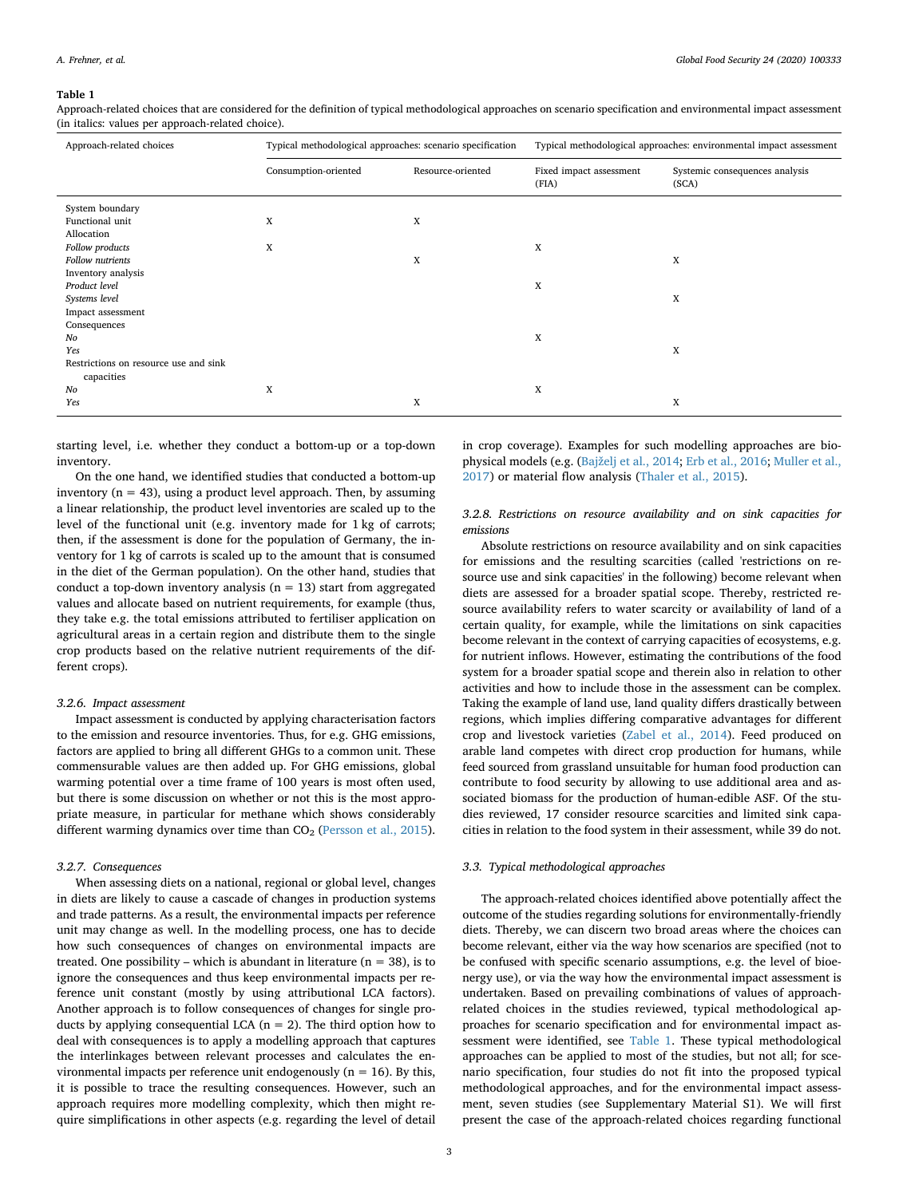#### <span id="page-2-0"></span>**Table 1**

Approach-related choices that are considered for the definition of typical methodological approaches on scenario specification and environmental impact assessment (in italics: values per approach-related choice).

| Approach-related choices              | Typical methodological approaches: scenario specification |                   | Typical methodological approaches: environmental impact assessment |                                         |
|---------------------------------------|-----------------------------------------------------------|-------------------|--------------------------------------------------------------------|-----------------------------------------|
|                                       | Consumption-oriented                                      | Resource-oriented | Fixed impact assessment<br>(FIA)                                   | Systemic consequences analysis<br>(SCA) |
| System boundary                       |                                                           |                   |                                                                    |                                         |
| Functional unit                       | X                                                         | X                 |                                                                    |                                         |
| Allocation                            |                                                           |                   |                                                                    |                                         |
| Follow products                       | X                                                         |                   | X                                                                  |                                         |
| <b>Follow</b> nutrients               |                                                           | X                 |                                                                    | X                                       |
| Inventory analysis                    |                                                           |                   |                                                                    |                                         |
| Product level                         |                                                           |                   | X                                                                  |                                         |
| Systems level                         |                                                           |                   |                                                                    | X                                       |
| Impact assessment                     |                                                           |                   |                                                                    |                                         |
| Consequences                          |                                                           |                   |                                                                    |                                         |
| No                                    |                                                           |                   | X                                                                  |                                         |
| Yes                                   |                                                           |                   |                                                                    | X                                       |
| Restrictions on resource use and sink |                                                           |                   |                                                                    |                                         |
| capacities                            |                                                           |                   |                                                                    |                                         |
| No                                    | X                                                         |                   | X                                                                  |                                         |
| Yes                                   |                                                           | X                 |                                                                    | X                                       |

starting level, i.e. whether they conduct a bottom-up or a top-down inventory.

On the one hand, we identified studies that conducted a bottom-up inventory ( $n = 43$ ), using a product level approach. Then, by assuming a linear relationship, the product level inventories are scaled up to the level of the functional unit (e.g. inventory made for 1 kg of carrots; then, if the assessment is done for the population of Germany, the inventory for 1 kg of carrots is scaled up to the amount that is consumed in the diet of the German population). On the other hand, studies that conduct a top-down inventory analysis ( $n = 13$ ) start from aggregated values and allocate based on nutrient requirements, for example (thus, they take e.g. the total emissions attributed to fertiliser application on agricultural areas in a certain region and distribute them to the single crop products based on the relative nutrient requirements of the different crops).

#### *3.2.6. Impact assessment*

Impact assessment is conducted by applying characterisation factors to the emission and resource inventories. Thus, for e.g. GHG emissions, factors are applied to bring all different GHGs to a common unit. These commensurable values are then added up. For GHG emissions, global warming potential over a time frame of 100 years is most often used, but there is some discussion on whether or not this is the most appropriate measure, in particular for methane which shows considerably different warming dynamics over time than  $CO<sub>2</sub>$  ([Persson et al., 2015](#page-7-13)).

#### *3.2.7. Consequences*

When assessing diets on a national, regional or global level, changes in diets are likely to cause a cascade of changes in production systems and trade patterns. As a result, the environmental impacts per reference unit may change as well. In the modelling process, one has to decide how such consequences of changes on environmental impacts are treated. One possibility – which is abundant in literature ( $n = 38$ ), is to ignore the consequences and thus keep environmental impacts per reference unit constant (mostly by using attributional LCA factors). Another approach is to follow consequences of changes for single products by applying consequential LCA ( $n = 2$ ). The third option how to deal with consequences is to apply a modelling approach that captures the interlinkages between relevant processes and calculates the environmental impacts per reference unit endogenously ( $n = 16$ ). By this, it is possible to trace the resulting consequences. However, such an approach requires more modelling complexity, which then might require simplifications in other aspects (e.g. regarding the level of detail in crop coverage). Examples for such modelling approaches are biophysical models (e.g. [\(Bajželj et al., 2014](#page-7-14); [Erb et al., 2016](#page-7-15); [Muller et al.,](#page-7-11) [2017\)](#page-7-11) or material flow analysis [\(Thaler et al., 2015](#page-7-16)).

## *3.2.8. Restrictions on resource availability and on sink capacities for emissions*

Absolute restrictions on resource availability and on sink capacities for emissions and the resulting scarcities (called 'restrictions on resource use and sink capacities' in the following) become relevant when diets are assessed for a broader spatial scope. Thereby, restricted resource availability refers to water scarcity or availability of land of a certain quality, for example, while the limitations on sink capacities become relevant in the context of carrying capacities of ecosystems, e.g. for nutrient inflows. However, estimating the contributions of the food system for a broader spatial scope and therein also in relation to other activities and how to include those in the assessment can be complex. Taking the example of land use, land quality differs drastically between regions, which implies differing comparative advantages for different crop and livestock varieties [\(Zabel et al., 2014\)](#page-7-17). Feed produced on arable land competes with direct crop production for humans, while feed sourced from grassland unsuitable for human food production can contribute to food security by allowing to use additional area and associated biomass for the production of human-edible ASF. Of the studies reviewed, 17 consider resource scarcities and limited sink capacities in relation to the food system in their assessment, while 39 do not.

#### *3.3. Typical methodological approaches*

The approach-related choices identified above potentially affect the outcome of the studies regarding solutions for environmentally-friendly diets. Thereby, we can discern two broad areas where the choices can become relevant, either via the way how scenarios are specified (not to be confused with specific scenario assumptions, e.g. the level of bioenergy use), or via the way how the environmental impact assessment is undertaken. Based on prevailing combinations of values of approachrelated choices in the studies reviewed, typical methodological approaches for scenario specification and for environmental impact assessment were identified, see [Table 1](#page-2-0). These typical methodological approaches can be applied to most of the studies, but not all; for scenario specification, four studies do not fit into the proposed typical methodological approaches, and for the environmental impact assessment, seven studies (see Supplementary Material S1). We will first present the case of the approach-related choices regarding functional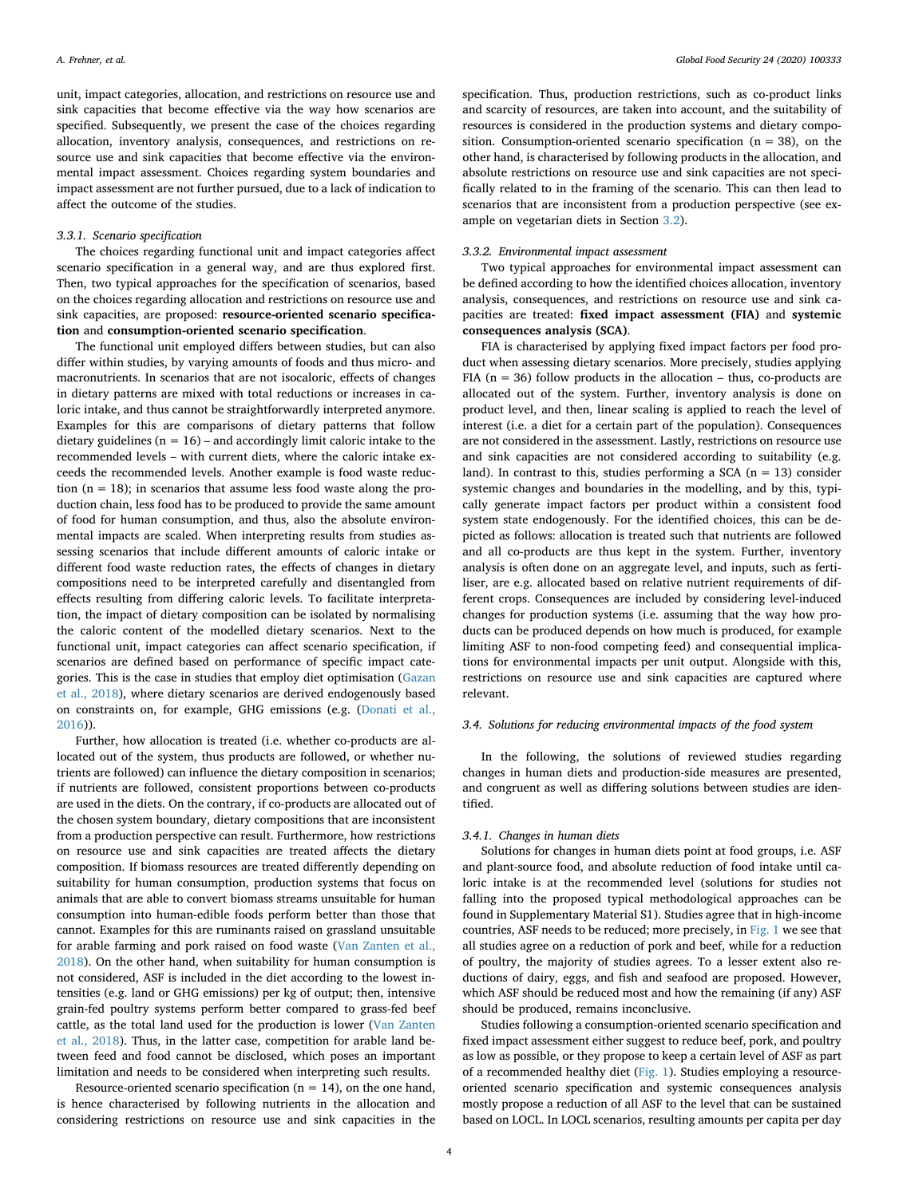unit, impact categories, allocation, and restrictions on resource use and sink capacities that become effective via the way how scenarios are specified. Subsequently, we present the case of the choices regarding allocation, inventory analysis, consequences, and restrictions on resource use and sink capacities that become effective via the environmental impact assessment. Choices regarding system boundaries and impact assessment are not further pursued, due to a lack of indication to affect the outcome of the studies.

#### *3.3.1. Scenario specification*

The choices regarding functional unit and impact categories affect scenario specification in a general way, and are thus explored first. Then, two typical approaches for the specification of scenarios, based on the choices regarding allocation and restrictions on resource use and sink capacities, are proposed: **resource-oriented scenario specification** and **consumption-oriented scenario specification**.

The functional unit employed differs between studies, but can also differ within studies, by varying amounts of foods and thus micro- and macronutrients. In scenarios that are not isocaloric, effects of changes in dietary patterns are mixed with total reductions or increases in caloric intake, and thus cannot be straightforwardly interpreted anymore. Examples for this are comparisons of dietary patterns that follow dietary guidelines ( $n = 16$ ) – and accordingly limit caloric intake to the recommended levels – with current diets, where the caloric intake exceeds the recommended levels. Another example is food waste reduction ( $n = 18$ ); in scenarios that assume less food waste along the production chain, less food has to be produced to provide the same amount of food for human consumption, and thus, also the absolute environmental impacts are scaled. When interpreting results from studies assessing scenarios that include different amounts of caloric intake or different food waste reduction rates, the effects of changes in dietary compositions need to be interpreted carefully and disentangled from effects resulting from differing caloric levels. To facilitate interpretation, the impact of dietary composition can be isolated by normalising the caloric content of the modelled dietary scenarios. Next to the functional unit, impact categories can affect scenario specification, if scenarios are defined based on performance of specific impact categories. This is the case in studies that employ diet optimisation ([Gazan](#page-7-18) [et al., 2018\)](#page-7-18), where dietary scenarios are derived endogenously based on constraints on, for example, GHG emissions (e.g. ([Donati et al.,](#page-7-19) [2016\)](#page-7-19)).

Further, how allocation is treated (i.e. whether co-products are allocated out of the system, thus products are followed, or whether nutrients are followed) can influence the dietary composition in scenarios; if nutrients are followed, consistent proportions between co-products are used in the diets. On the contrary, if co-products are allocated out of the chosen system boundary, dietary compositions that are inconsistent from a production perspective can result. Furthermore, how restrictions on resource use and sink capacities are treated affects the dietary composition. If biomass resources are treated differently depending on suitability for human consumption, production systems that focus on animals that are able to convert biomass streams unsuitable for human consumption into human-edible foods perform better than those that cannot. Examples for this are ruminants raised on grassland unsuitable for arable farming and pork raised on food waste ([Van Zanten et al.,](#page-7-9) [2018\)](#page-7-9). On the other hand, when suitability for human consumption is not considered, ASF is included in the diet according to the lowest intensities (e.g. land or GHG emissions) per kg of output; then, intensive grain-fed poultry systems perform better compared to grass-fed beef cattle, as the total land used for the production is lower [\(Van Zanten](#page-7-9) [et al., 2018](#page-7-9)). Thus, in the latter case, competition for arable land between feed and food cannot be disclosed, which poses an important limitation and needs to be considered when interpreting such results.

Resource-oriented scenario specification ( $n = 14$ ), on the one hand, is hence characterised by following nutrients in the allocation and considering restrictions on resource use and sink capacities in the

specification. Thus, production restrictions, such as co-product links and scarcity of resources, are taken into account, and the suitability of resources is considered in the production systems and dietary composition. Consumption-oriented scenario specification ( $n = 38$ ), on the other hand, is characterised by following products in the allocation, and absolute restrictions on resource use and sink capacities are not specifically related to in the framing of the scenario. This can then lead to scenarios that are inconsistent from a production perspective (see example on vegetarian diets in Section [3.2\)](#page-1-0).

## *3.3.2. Environmental impact assessment*

Two typical approaches for environmental impact assessment can be defined according to how the identified choices allocation, inventory analysis, consequences, and restrictions on resource use and sink capacities are treated: **fixed impact assessment (FIA)** and **systemic consequences analysis (SCA)**.

FIA is characterised by applying fixed impact factors per food product when assessing dietary scenarios. More precisely, studies applying FIA ( $n = 36$ ) follow products in the allocation – thus, co-products are allocated out of the system. Further, inventory analysis is done on product level, and then, linear scaling is applied to reach the level of interest (i.e. a diet for a certain part of the population). Consequences are not considered in the assessment. Lastly, restrictions on resource use and sink capacities are not considered according to suitability (e.g. land). In contrast to this, studies performing a SCA ( $n = 13$ ) consider systemic changes and boundaries in the modelling, and by this, typically generate impact factors per product within a consistent food system state endogenously. For the identified choices, this can be depicted as follows: allocation is treated such that nutrients are followed and all co-products are thus kept in the system. Further, inventory analysis is often done on an aggregate level, and inputs, such as fertiliser, are e.g. allocated based on relative nutrient requirements of different crops. Consequences are included by considering level-induced changes for production systems (i.e. assuming that the way how products can be produced depends on how much is produced, for example limiting ASF to non-food competing feed) and consequential implications for environmental impacts per unit output. Alongside with this, restrictions on resource use and sink capacities are captured where relevant.

## *3.4. Solutions for reducing environmental impacts of the food system*

In the following, the solutions of reviewed studies regarding changes in human diets and production-side measures are presented, and congruent as well as differing solutions between studies are identified.

#### *3.4.1. Changes in human diets*

Solutions for changes in human diets point at food groups, i.e. ASF and plant-source food, and absolute reduction of food intake until caloric intake is at the recommended level (solutions for studies not falling into the proposed typical methodological approaches can be found in Supplementary Material S1). Studies agree that in high-income countries, ASF needs to be reduced; more precisely, in [Fig. 1](#page-4-0) we see that all studies agree on a reduction of pork and beef, while for a reduction of poultry, the majority of studies agrees. To a lesser extent also reductions of dairy, eggs, and fish and seafood are proposed. However, which ASF should be reduced most and how the remaining (if any) ASF should be produced, remains inconclusive.

Studies following a consumption-oriented scenario specification and fixed impact assessment either suggest to reduce beef, pork, and poultry as low as possible, or they propose to keep a certain level of ASF as part of a recommended healthy diet [\(Fig. 1](#page-4-0)). Studies employing a resourceoriented scenario specification and systemic consequences analysis mostly propose a reduction of all ASF to the level that can be sustained based on LOCL. In LOCL scenarios, resulting amounts per capita per day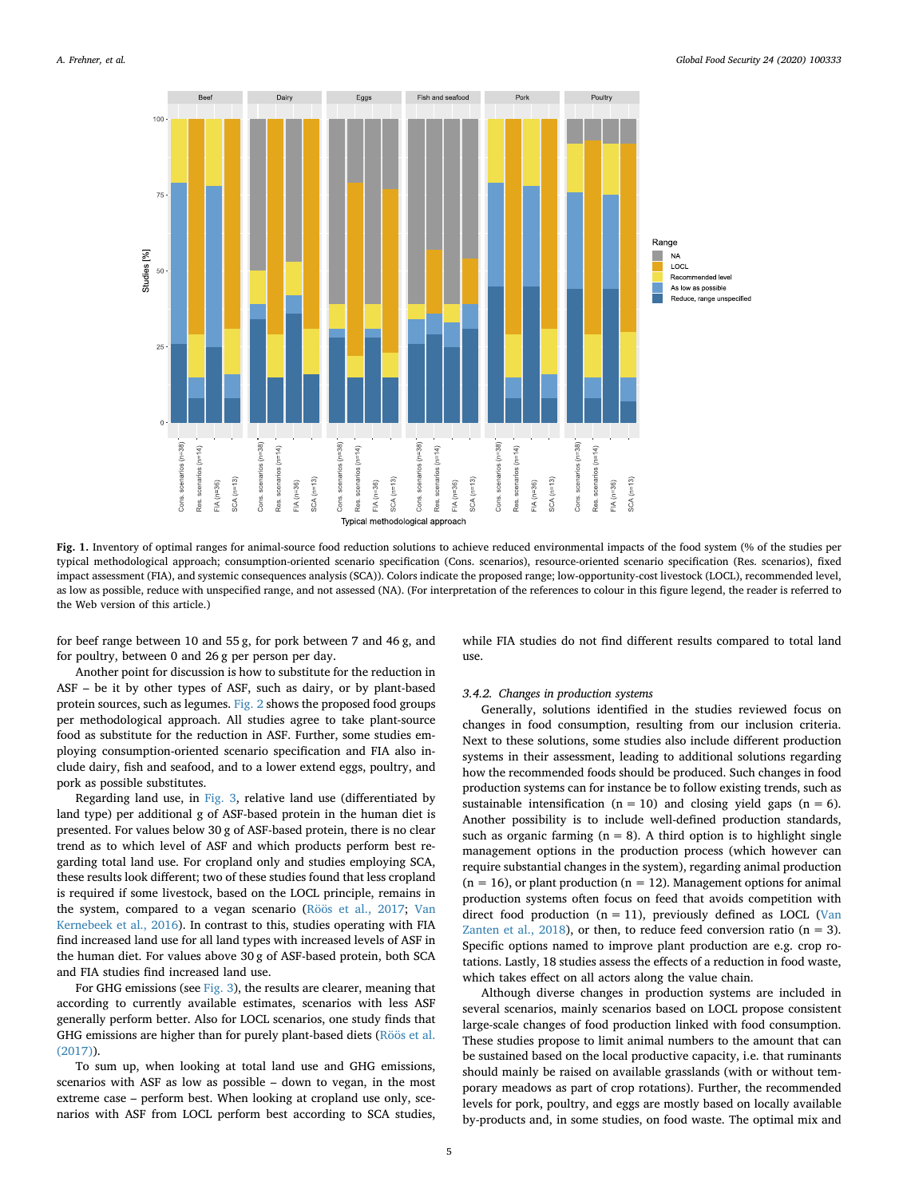<span id="page-4-0"></span>

**Fig. 1.** Inventory of optimal ranges for animal-source food reduction solutions to achieve reduced environmental impacts of the food system (% of the studies per typical methodological approach; consumption-oriented scenario specification (Cons. scenarios), resource-oriented scenario specification (Res. scenarios), fixed impact assessment (FIA), and systemic consequences analysis (SCA)). Colors indicate the proposed range; low-opportunity-cost livestock (LOCL), recommended level, as low as possible, reduce with unspecified range, and not assessed (NA). (For interpretation of the references to colour in this figure legend, the reader is referred to the Web version of this article.)

for beef range between 10 and 55 g, for pork between 7 and 46 g, and for poultry, between 0 and 26 g per person per day.

Another point for discussion is how to substitute for the reduction in ASF – be it by other types of ASF, such as dairy, or by plant-based protein sources, such as legumes. [Fig. 2](#page-5-0) shows the proposed food groups per methodological approach. All studies agree to take plant-source food as substitute for the reduction in ASF. Further, some studies employing consumption-oriented scenario specification and FIA also include dairy, fish and seafood, and to a lower extend eggs, poultry, and pork as possible substitutes.

Regarding land use, in [Fig. 3,](#page-5-1) relative land use (differentiated by land type) per additional g of ASF-based protein in the human diet is presented. For values below 30 g of ASF-based protein, there is no clear trend as to which level of ASF and which products perform best regarding total land use. For cropland only and studies employing SCA, these results look different; two of these studies found that less cropland is required if some livestock, based on the LOCL principle, remains in the system, compared to a vegan scenario [\(Röös et al., 2017](#page-7-20); [Van](#page-7-21) [Kernebeek et al., 2016](#page-7-21)). In contrast to this, studies operating with FIA find increased land use for all land types with increased levels of ASF in the human diet. For values above 30 g of ASF-based protein, both SCA and FIA studies find increased land use.

For GHG emissions (see [Fig. 3\)](#page-5-1), the results are clearer, meaning that according to currently available estimates, scenarios with less ASF generally perform better. Also for LOCL scenarios, one study finds that GHG emissions are higher than for purely plant-based diets ([Röös et al.](#page-7-20) [\(2017\)\)](#page-7-20).

To sum up, when looking at total land use and GHG emissions, scenarios with ASF as low as possible – down to vegan, in the most extreme case – perform best. When looking at cropland use only, scenarios with ASF from LOCL perform best according to SCA studies,

while FIA studies do not find different results compared to total land use.

## *3.4.2. Changes in production systems*

Generally, solutions identified in the studies reviewed focus on changes in food consumption, resulting from our inclusion criteria. Next to these solutions, some studies also include different production systems in their assessment, leading to additional solutions regarding how the recommended foods should be produced. Such changes in food production systems can for instance be to follow existing trends, such as sustainable intensification ( $n = 10$ ) and closing yield gaps ( $n = 6$ ). Another possibility is to include well-defined production standards, such as organic farming  $(n = 8)$ . A third option is to highlight single management options in the production process (which however can require substantial changes in the system), regarding animal production  $(n = 16)$ , or plant production  $(n = 12)$ . Management options for animal production systems often focus on feed that avoids competition with direct food production  $(n = 11)$ , previously defined as LOCL ([Van](#page-7-9) [Zanten et al., 2018\)](#page-7-9), or then, to reduce feed conversion ratio  $(n = 3)$ . Specific options named to improve plant production are e.g. crop rotations. Lastly, 18 studies assess the effects of a reduction in food waste, which takes effect on all actors along the value chain.

Although diverse changes in production systems are included in several scenarios, mainly scenarios based on LOCL propose consistent large-scale changes of food production linked with food consumption. These studies propose to limit animal numbers to the amount that can be sustained based on the local productive capacity, i.e. that ruminants should mainly be raised on available grasslands (with or without temporary meadows as part of crop rotations). Further, the recommended levels for pork, poultry, and eggs are mostly based on locally available by-products and, in some studies, on food waste. The optimal mix and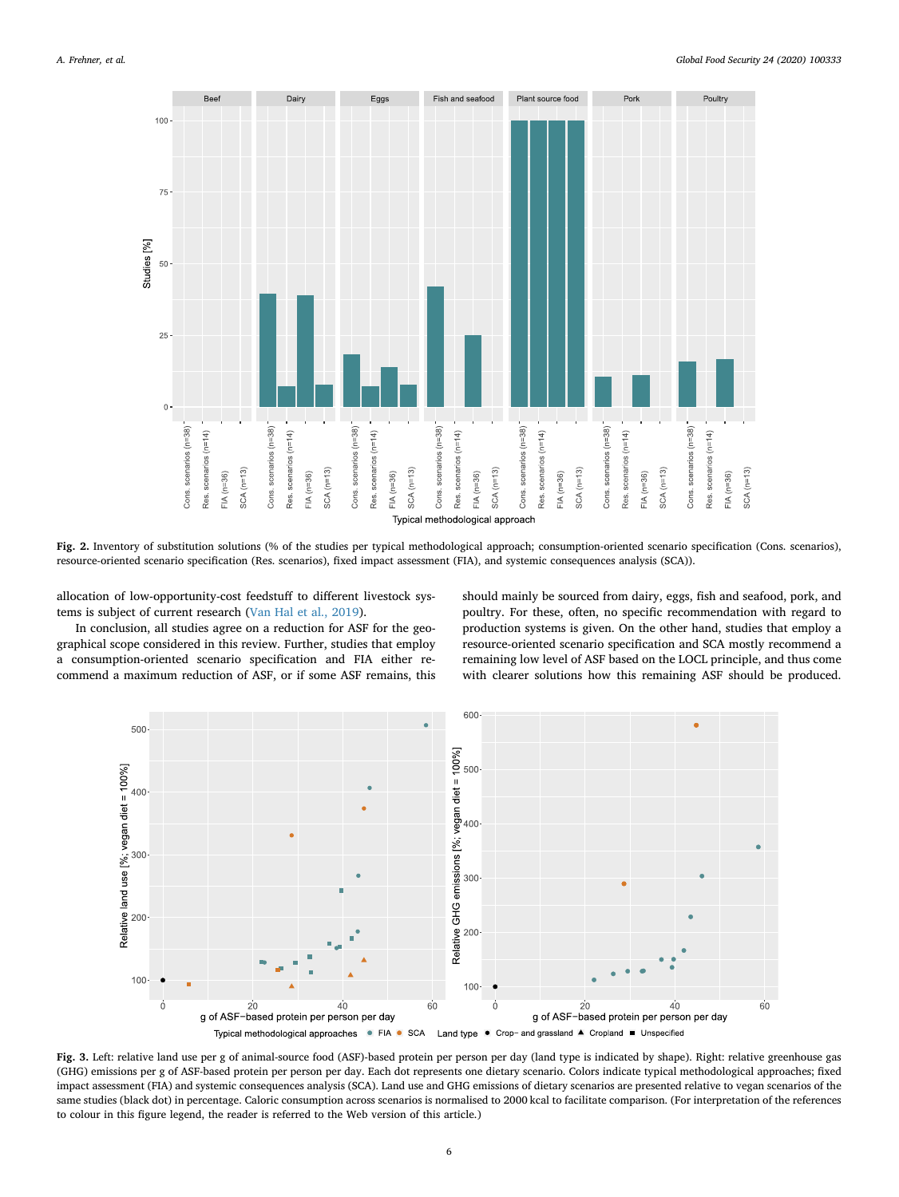<span id="page-5-0"></span>

**Fig. 2.** Inventory of substitution solutions (% of the studies per typical methodological approach; consumption-oriented scenario specification (Cons. scenarios), resource-oriented scenario specification (Res. scenarios), fixed impact assessment (FIA), and systemic consequences analysis (SCA)).

allocation of low-opportunity-cost feedstuff to different livestock systems is subject of current research ([Van Hal et al., 2019\)](#page-7-22).

In conclusion, all studies agree on a reduction for ASF for the geographical scope considered in this review. Further, studies that employ a consumption-oriented scenario specification and FIA either recommend a maximum reduction of ASF, or if some ASF remains, this should mainly be sourced from dairy, eggs, fish and seafood, pork, and poultry. For these, often, no specific recommendation with regard to production systems is given. On the other hand, studies that employ a resource-oriented scenario specification and SCA mostly recommend a remaining low level of ASF based on the LOCL principle, and thus come with clearer solutions how this remaining ASF should be produced.

<span id="page-5-1"></span>

**Fig. 3.** Left: relative land use per g of animal-source food (ASF)-based protein per person per day (land type is indicated by shape). Right: relative greenhouse gas (GHG) emissions per g of ASF-based protein per person per day. Each dot represents one dietary scenario. Colors indicate typical methodological approaches; fixed impact assessment (FIA) and systemic consequences analysis (SCA). Land use and GHG emissions of dietary scenarios are presented relative to vegan scenarios of the same studies (black dot) in percentage. Caloric consumption across scenarios is normalised to 2000 kcal to facilitate comparison. (For interpretation of the references to colour in this figure legend, the reader is referred to the Web version of this article.)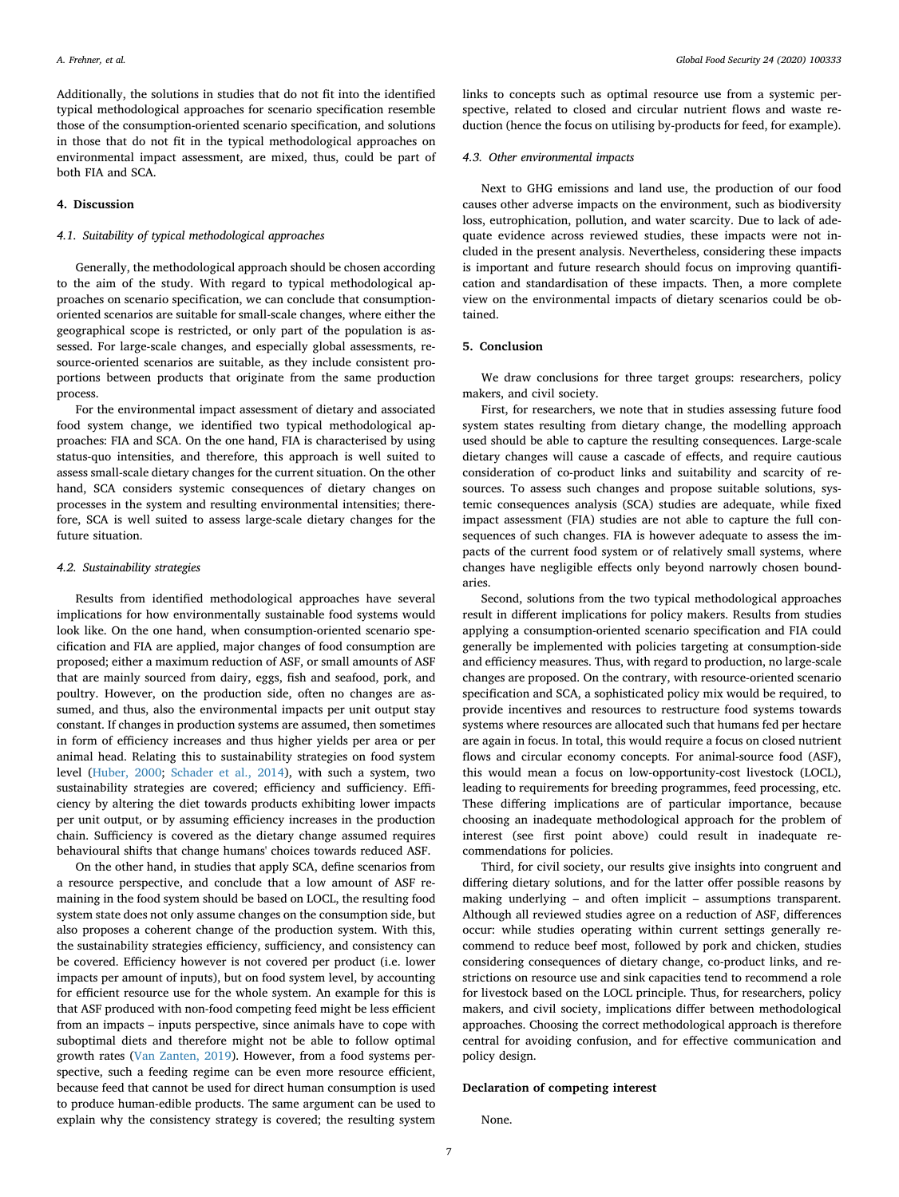Additionally, the solutions in studies that do not fit into the identified typical methodological approaches for scenario specification resemble those of the consumption-oriented scenario specification, and solutions in those that do not fit in the typical methodological approaches on environmental impact assessment, are mixed, thus, could be part of both FIA and SCA.

## **4. Discussion**

## *4.1. Suitability of typical methodological approaches*

Generally, the methodological approach should be chosen according to the aim of the study. With regard to typical methodological approaches on scenario specification, we can conclude that consumptionoriented scenarios are suitable for small-scale changes, where either the geographical scope is restricted, or only part of the population is assessed. For large-scale changes, and especially global assessments, resource-oriented scenarios are suitable, as they include consistent proportions between products that originate from the same production process.

For the environmental impact assessment of dietary and associated food system change, we identified two typical methodological approaches: FIA and SCA. On the one hand, FIA is characterised by using status-quo intensities, and therefore, this approach is well suited to assess small-scale dietary changes for the current situation. On the other hand, SCA considers systemic consequences of dietary changes on processes in the system and resulting environmental intensities; therefore, SCA is well suited to assess large-scale dietary changes for the future situation.

# *4.2. Sustainability strategies*

Results from identified methodological approaches have several implications for how environmentally sustainable food systems would look like. On the one hand, when consumption-oriented scenario specification and FIA are applied, major changes of food consumption are proposed; either a maximum reduction of ASF, or small amounts of ASF that are mainly sourced from dairy, eggs, fish and seafood, pork, and poultry. However, on the production side, often no changes are assumed, and thus, also the environmental impacts per unit output stay constant. If changes in production systems are assumed, then sometimes in form of efficiency increases and thus higher yields per area or per animal head. Relating this to sustainability strategies on food system level [\(Huber, 2000](#page-7-23); [Schader et al., 2014\)](#page-7-24), with such a system, two sustainability strategies are covered; efficiency and sufficiency. Efficiency by altering the diet towards products exhibiting lower impacts per unit output, or by assuming efficiency increases in the production chain. Sufficiency is covered as the dietary change assumed requires behavioural shifts that change humans' choices towards reduced ASF.

On the other hand, in studies that apply SCA, define scenarios from a resource perspective, and conclude that a low amount of ASF remaining in the food system should be based on LOCL, the resulting food system state does not only assume changes on the consumption side, but also proposes a coherent change of the production system. With this, the sustainability strategies efficiency, sufficiency, and consistency can be covered. Efficiency however is not covered per product (i.e. lower impacts per amount of inputs), but on food system level, by accounting for efficient resource use for the whole system. An example for this is that ASF produced with non-food competing feed might be less efficient from an impacts – inputs perspective, since animals have to cope with suboptimal diets and therefore might not be able to follow optimal growth rates ([Van Zanten, 2019](#page-7-25)). However, from a food systems perspective, such a feeding regime can be even more resource efficient, because feed that cannot be used for direct human consumption is used to produce human-edible products. The same argument can be used to explain why the consistency strategy is covered; the resulting system

links to concepts such as optimal resource use from a systemic perspective, related to closed and circular nutrient flows and waste reduction (hence the focus on utilising by-products for feed, for example).

#### *4.3. Other environmental impacts*

Next to GHG emissions and land use, the production of our food causes other adverse impacts on the environment, such as biodiversity loss, eutrophication, pollution, and water scarcity. Due to lack of adequate evidence across reviewed studies, these impacts were not included in the present analysis. Nevertheless, considering these impacts is important and future research should focus on improving quantification and standardisation of these impacts. Then, a more complete view on the environmental impacts of dietary scenarios could be obtained.

## **5. Conclusion**

We draw conclusions for three target groups: researchers, policy makers, and civil society.

First, for researchers, we note that in studies assessing future food system states resulting from dietary change, the modelling approach used should be able to capture the resulting consequences. Large-scale dietary changes will cause a cascade of effects, and require cautious consideration of co-product links and suitability and scarcity of resources. To assess such changes and propose suitable solutions, systemic consequences analysis (SCA) studies are adequate, while fixed impact assessment (FIA) studies are not able to capture the full consequences of such changes. FIA is however adequate to assess the impacts of the current food system or of relatively small systems, where changes have negligible effects only beyond narrowly chosen boundaries.

Second, solutions from the two typical methodological approaches result in different implications for policy makers. Results from studies applying a consumption-oriented scenario specification and FIA could generally be implemented with policies targeting at consumption-side and efficiency measures. Thus, with regard to production, no large-scale changes are proposed. On the contrary, with resource-oriented scenario specification and SCA, a sophisticated policy mix would be required, to provide incentives and resources to restructure food systems towards systems where resources are allocated such that humans fed per hectare are again in focus. In total, this would require a focus on closed nutrient flows and circular economy concepts. For animal-source food (ASF), this would mean a focus on low-opportunity-cost livestock (LOCL), leading to requirements for breeding programmes, feed processing, etc. These differing implications are of particular importance, because choosing an inadequate methodological approach for the problem of interest (see first point above) could result in inadequate recommendations for policies.

Third, for civil society, our results give insights into congruent and differing dietary solutions, and for the latter offer possible reasons by making underlying – and often implicit – assumptions transparent. Although all reviewed studies agree on a reduction of ASF, differences occur: while studies operating within current settings generally recommend to reduce beef most, followed by pork and chicken, studies considering consequences of dietary change, co-product links, and restrictions on resource use and sink capacities tend to recommend a role for livestock based on the LOCL principle. Thus, for researchers, policy makers, and civil society, implications differ between methodological approaches. Choosing the correct methodological approach is therefore central for avoiding confusion, and for effective communication and policy design.

# **Declaration of competing interest**

None.